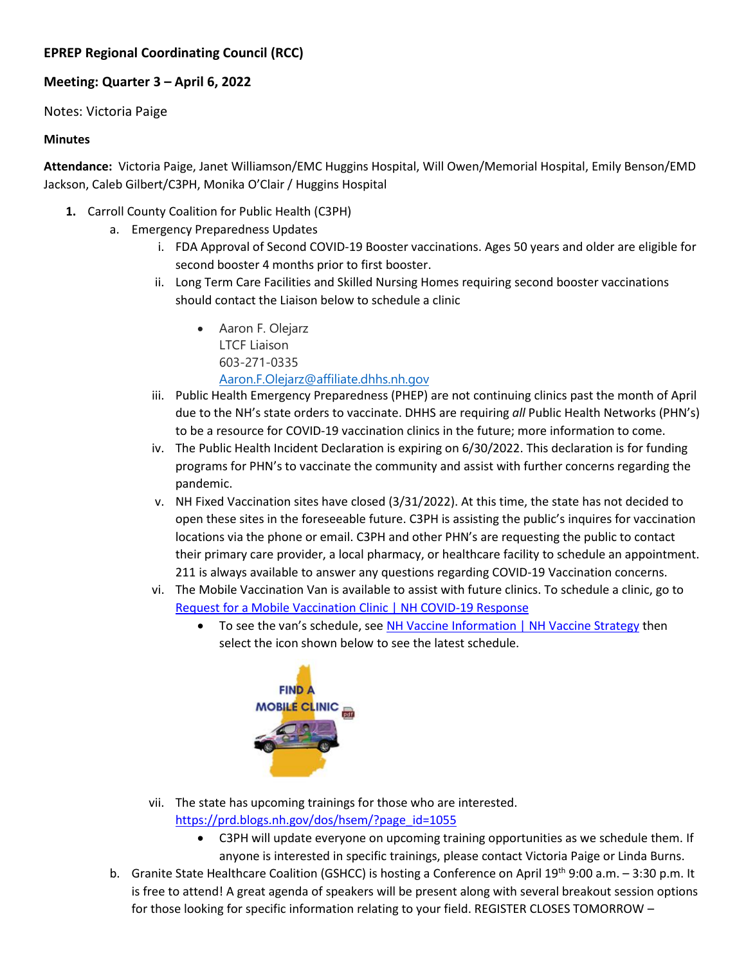## **EPREP Regional Coordinating Council (RCC)**

## **Meeting: Quarter 3 – April 6, 2022**

Notes: Victoria Paige

## **Minutes**

**Attendance:** Victoria Paige, Janet Williamson/EMC Huggins Hospital, Will Owen/Memorial Hospital, Emily Benson/EMD Jackson, Caleb Gilbert/C3PH, Monika O'Clair / Huggins Hospital

- **1.** Carroll County Coalition for Public Health (C3PH)
	- a. Emergency Preparedness Updates
		- i. FDA Approval of Second COVID-19 Booster vaccinations. Ages 50 years and older are eligible for second booster 4 months prior to first booster.
		- ii. Long Term Care Facilities and Skilled Nursing Homes requiring second booster vaccinations should contact the Liaison below to schedule a clinic
			- Aaron F. Olejarz LTCF Liaison 603-271-0335 [Aaron.F.Olejarz@affiliate.dhhs.nh.gov](mailto:Aaron.F.Olejarz@affiliate.dhhs.nh.gov)
		- iii. Public Health Emergency Preparedness (PHEP) are not continuing clinics past the month of April due to the NH's state orders to vaccinate. DHHS are requiring *all* Public Health Networks (PHN's) to be a resource for COVID-19 vaccination clinics in the future; more information to come.
		- iv. The Public Health Incident Declaration is expiring on 6/30/2022. This declaration is for funding programs for PHN's to vaccinate the community and assist with further concerns regarding the pandemic.
		- v. NH Fixed Vaccination sites have closed (3/31/2022). At this time, the state has not decided to open these sites in the foreseeable future. C3PH is assisting the public's inquires for vaccination locations via the phone or email. C3PH and other PHN's are requesting the public to contact their primary care provider, a local pharmacy, or healthcare facility to schedule an appointment. 211 is always available to answer any questions regarding COVID-19 Vaccination concerns.
		- vi. The Mobile Vaccination Van is available to assist with future clinics. To schedule a clinic, go to [Request for a Mobile Vaccination Clinic | NH COVID-19 Response](https://www.covid19.nh.gov/request-mobile-vaccination-clinic)
			- To see the van's schedule, see [NH Vaccine Information | NH Vaccine Strategy](https://www.vaccines.nh.gov/) then select the icon shown below to see the latest schedule.



- vii. The state has upcoming trainings for those who are interested.
	- [https://prd.blogs.nh.gov/dos/hsem/?page\\_id=1055](https://prd.blogs.nh.gov/dos/hsem/?page_id=1055)
		- C3PH will update everyone on upcoming training opportunities as we schedule them. If anyone is interested in specific trainings, please contact Victoria Paige or Linda Burns.
- b. Granite State Healthcare Coalition (GSHCC) is hosting a Conference on April 19<sup>th</sup> 9:00 a.m. 3:30 p.m. It is free to attend! A great agenda of speakers will be present along with several breakout session options for those looking for specific information relating to your field. REGISTER CLOSES TOMORROW –